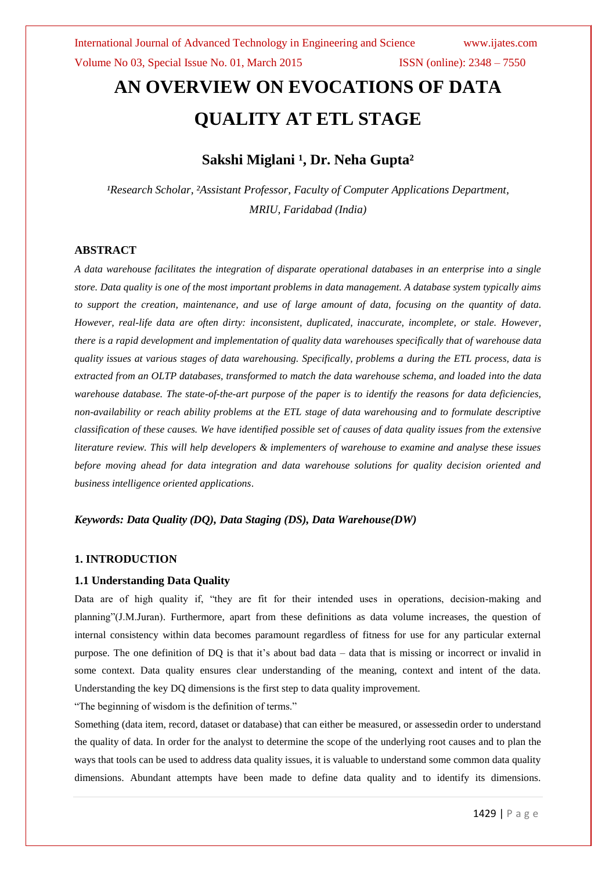# **AN OVERVIEW ON EVOCATIONS OF DATA QUALITY AT ETL STAGE**

### **Sakshi Miglani ¹, Dr. Neha Gupta²**

<sup>1</sup>Research Scholar, <sup>2</sup>Assistant Professor, Faculty of Computer Applications Department, *MRIU, Faridabad (India)*

### **ABSTRACT**

*A data warehouse facilitates the integration of disparate operational databases in an enterprise into a single store. Data quality is one of the most important problems in data management. A database system typically aims to support the creation, maintenance, and use of large amount of data, focusing on the quantity of data. However, real-life data are often dirty: inconsistent, duplicated, inaccurate, incomplete, or stale. However, there is a rapid development and implementation of quality data warehouses specifically that of warehouse data quality issues at various stages of data warehousing. Specifically, problems a during the ETL process, data is extracted from an OLTP databases, transformed to match the data warehouse schema, and loaded into the data warehouse database. The state-of-the-art purpose of the paper is to identify the reasons for data deficiencies, non-availability or reach ability problems at the ETL stage of data warehousing and to formulate descriptive classification of these causes. We have identified possible set of causes of data quality issues from the extensive literature review. This will help developers & implementers of warehouse to examine and analyse these issues before moving ahead for data integration and data warehouse solutions for quality decision oriented and business intelligence oriented applications*.

### *Keywords: Data Quality (DQ), Data Staging (DS), Data Warehouse(DW)*

### **1. INTRODUCTION**

### **1.1 Understanding Data Quality**

Data are of high quality if, "they are fit for their intended uses in operations, decision-making and planning"(J.M.Juran). Furthermore, apart from these definitions as data volume increases, the question of internal consistency within data becomes paramount regardless of fitness for use for any particular external purpose. The one definition of DQ is that it's about bad data – data that is missing or incorrect or invalid in some context. Data quality ensures clear understanding of the meaning, context and intent of the data. Understanding the key DQ dimensions is the first step to data quality improvement.

"The beginning of wisdom is the definition of terms."

Something (data item, record, dataset or database) that can either be measured, or assessedin order to understand the quality of data. In order for the analyst to determine the scope of the underlying root causes and to plan the ways that tools can be used to address data quality issues, it is valuable to understand some common data quality dimensions. Abundant attempts have been made to define data quality and to identify its dimensions.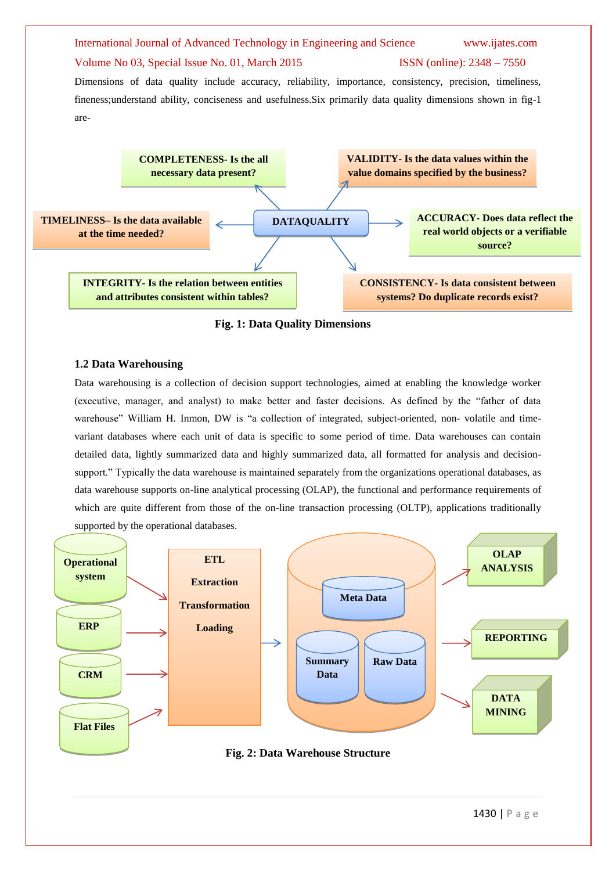

**INTEGRITY- Is the relation between entities and attributes consistent within tables?**

**CONSISTENCY- Is data consistent between systems? Do duplicate records exist?**

**Fig. 1: Data Quality Dimensions**

### **1.2 Data Warehousing**

Data warehousing is a collection of decision support technologies, aimed at enabling the knowledge worker (executive, manager, and analyst) to make better and faster decisions. As defined by the "father of data warehouse" William H. Inmon, DW is "a collection of integrated, subject-oriented, non- volatile and timevariant databases where each unit of data is specific to some period of time. Data warehouses can contain detailed data, lightly summarized data and highly summarized data, all formatted for analysis and decisionsupport." Typically the data warehouse is maintained separately from the organizations operational databases, as data warehouse supports on-line analytical processing (OLAP), the functional and performance requirements of which are quite different from those of the on-line transaction processing (OLTP), applications traditionally supported by the operational databases.

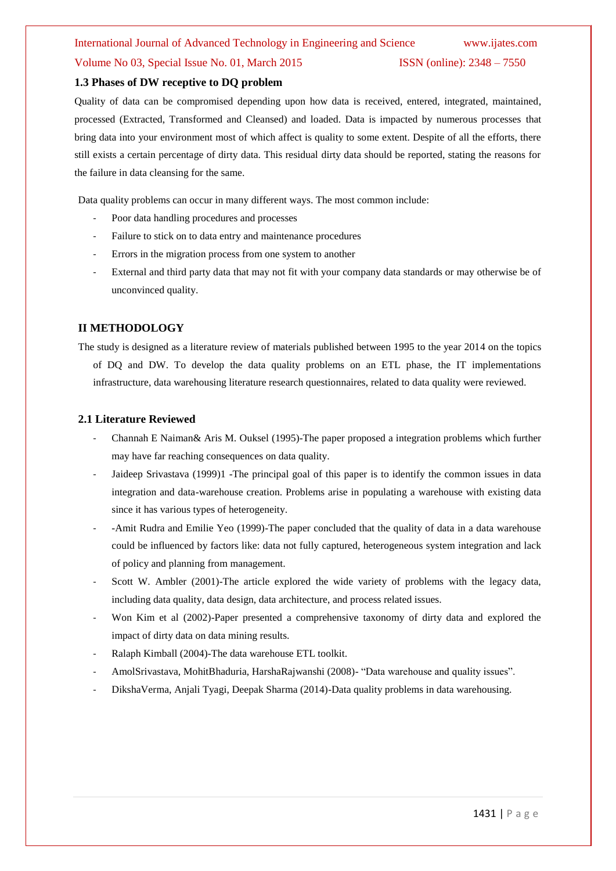### International Journal of Advanced Technology in Engineering and Science www.ijates.com

### Volume No 03, Special Issue No. 01, March 2015 ISSN (online): 2348 – 7550

### **1.3 Phases of DW receptive to DQ problem**

Quality of data can be compromised depending upon how data is received, entered, integrated, maintained, processed (Extracted, Transformed and Cleansed) and loaded. Data is impacted by numerous processes that bring data into your environment most of which affect is quality to some extent. Despite of all the efforts, there still exists a certain percentage of dirty data. This residual dirty data should be reported, stating the reasons for the failure in data cleansing for the same.

Data quality problems can occur in many different ways. The most common include:

- Poor data handling procedures and processes
- Failure to stick on to data entry and maintenance procedures
- Errors in the migration process from one system to another
- External and third party data that may not fit with your company data standards or may otherwise be of unconvinced quality.

### **II METHODOLOGY**

The study is designed as a literature review of materials published between 1995 to the year 2014 on the topics of DQ and DW. To develop the data quality problems on an ETL phase, the IT implementations infrastructure, data warehousing literature research questionnaires, related to data quality were reviewed.

### **2.1 Literature Reviewed**

- Channah E Naiman& Aris M. Ouksel (1995)-The paper proposed a integration problems which further may have far reaching consequences on data quality.
- Jaideep Srivastava (1999)1 -The principal goal of this paper is to identify the common issues in data integration and data-warehouse creation. Problems arise in populating a warehouse with existing data since it has various types of heterogeneity.
- -Amit Rudra and Emilie Yeo (1999)-The paper concluded that the quality of data in a data warehouse could be influenced by factors like: data not fully captured, heterogeneous system integration and lack of policy and planning from management.
- Scott W. Ambler (2001)-The article explored the wide variety of problems with the legacy data, including data quality, data design, data architecture, and process related issues.
- Won Kim et al (2002)-Paper presented a comprehensive taxonomy of dirty data and explored the impact of dirty data on data mining results.
- Ralaph Kimball (2004)-The data warehouse ETL toolkit.
- AmolSrivastava, MohitBhaduria, HarshaRajwanshi (2008)- "Data warehouse and quality issues".
- DikshaVerma, Anjali Tyagi, Deepak Sharma (2014)-Data quality problems in data warehousing.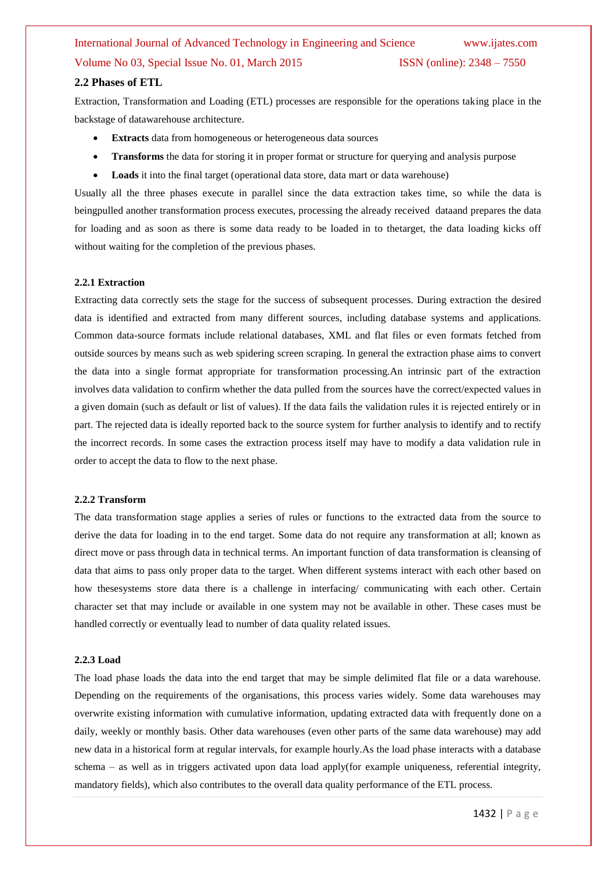### **2.2 Phases of ETL**

Extraction, Transformation and Loading (ETL) processes are responsible for the operations taking place in the backstage of datawarehouse architecture.

- **Extracts** data from homogeneous or heterogeneous data sources
- **Transforms** the data for storing it in proper format or structure for querying and analysis purpose
- **Loads** it into the final target (operational data store, data mart or data warehouse)

Usually all the three phases execute in parallel since the data extraction takes time, so while the data is beingpulled another transformation process executes, processing the already received dataand prepares the data for loading and as soon as there is some data ready to be loaded in to thetarget, the data loading kicks off without waiting for the completion of the previous phases.

### **2.2.1 Extraction**

Extracting data correctly sets the stage for the success of subsequent processes. During extraction the desired data is identified and extracted from many different sources, including database systems and applications. Common data-source formats include relational databases, XML and flat files or even formats fetched from outside sources by means such as web spidering screen scraping. In general the extraction phase aims to convert the data into a single format appropriate for transformation processing.An intrinsic part of the extraction involves data validation to confirm whether the data pulled from the sources have the correct/expected values in a given domain (such as default or list of values). If the data fails the validation rules it is rejected entirely or in part. The rejected data is ideally reported back to the source system for further analysis to identify and to rectify the incorrect records. In some cases the extraction process itself may have to modify a data validation rule in order to accept the data to flow to the next phase.

### **2.2.2 Transform**

The data transformation stage applies a series of rules or functions to the extracted data from the source to derive the data for loading in to the end target. Some data do not require any transformation at all; known as direct move or pass through data in technical terms. An important function of data transformation is cleansing of data that aims to pass only proper data to the target. When different systems interact with each other based on how thesesystems store data there is a challenge in interfacing/ communicating with each other. Certain character set that may include or available in one system may not be available in other. These cases must be handled correctly or eventually lead to number of data quality related issues.

### **2.2.3 Load**

The load phase loads the data into the end target that may be simple delimited flat file or a data warehouse. Depending on the requirements of the organisations, this process varies widely. Some data warehouses may overwrite existing information with cumulative information, updating extracted data with frequently done on a daily, weekly or monthly basis. Other data warehouses (even other parts of the same data warehouse) may add new data in a historical form at regular intervals, for example hourly.As the load phase interacts with a database schema – as well as in triggers activated upon data load apply(for example uniqueness, referential integrity, mandatory fields), which also contributes to the overall data quality performance of the ETL process.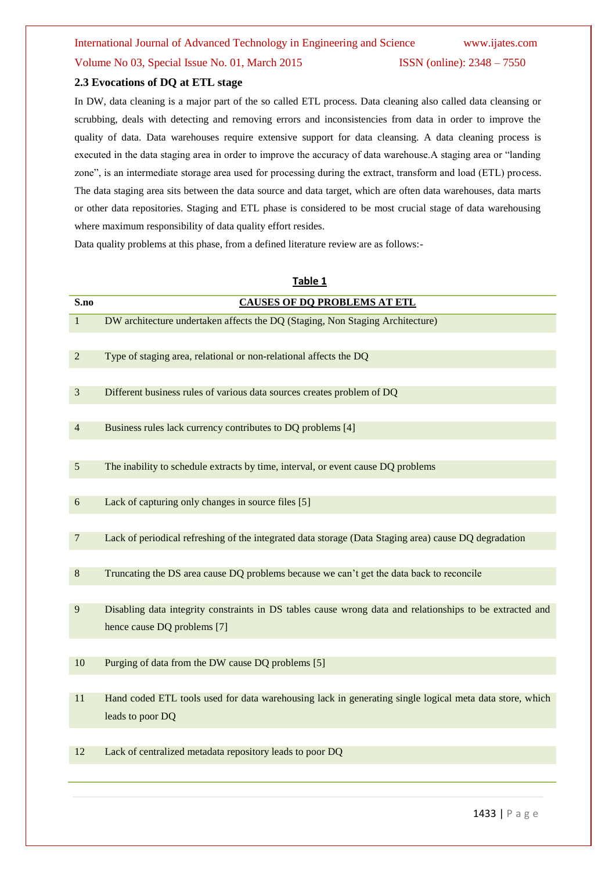### **2.3 Evocations of DQ at ETL stage**

In DW, data cleaning is a major part of the so called ETL process. Data cleaning also called data cleansing or scrubbing, deals with detecting and removing errors and inconsistencies from data in order to improve the quality of data. Data warehouses require extensive support for data cleansing. A data cleaning process is executed in the data staging area in order to improve the accuracy of data warehouse.A staging area or "landing zone", is an intermediate storage area used for processing during the extract, transform and load (ETL) process. The data staging area sits between the data source and data target, which are often data warehouses, data marts or other data repositories. Staging and ETL phase is considered to be most crucial stage of data warehousing where maximum responsibility of data quality effort resides.

Data quality problems at this phase, from a defined literature review are as follows:-

| Table 1        |                                                                                                          |  |  |
|----------------|----------------------------------------------------------------------------------------------------------|--|--|
| S.no           | <b>CAUSES OF DO PROBLEMS AT ETL</b>                                                                      |  |  |
| $\mathbf{1}$   | DW architecture undertaken affects the DQ (Staging, Non Staging Architecture)                            |  |  |
|                |                                                                                                          |  |  |
| $\overline{2}$ | Type of staging area, relational or non-relational affects the DQ                                        |  |  |
|                |                                                                                                          |  |  |
| 3              | Different business rules of various data sources creates problem of DQ                                   |  |  |
|                |                                                                                                          |  |  |
| 4              | Business rules lack currency contributes to DQ problems [4]                                              |  |  |
|                |                                                                                                          |  |  |
| $\overline{5}$ | The inability to schedule extracts by time, interval, or event cause DQ problems                         |  |  |
|                |                                                                                                          |  |  |
| 6              | Lack of capturing only changes in source files [5]                                                       |  |  |
|                |                                                                                                          |  |  |
| 7              | Lack of periodical refreshing of the integrated data storage (Data Staging area) cause DQ degradation    |  |  |
|                |                                                                                                          |  |  |
| 8              | Truncating the DS area cause DQ problems because we can't get the data back to reconcile                 |  |  |
|                |                                                                                                          |  |  |
| 9              | Disabling data integrity constraints in DS tables cause wrong data and relationships to be extracted and |  |  |
|                | hence cause DQ problems [7]                                                                              |  |  |
|                |                                                                                                          |  |  |
| 10             | Purging of data from the DW cause DQ problems [5]                                                        |  |  |
|                |                                                                                                          |  |  |
| 11             | Hand coded ETL tools used for data warehousing lack in generating single logical meta data store, which  |  |  |
|                | leads to poor DQ                                                                                         |  |  |
|                |                                                                                                          |  |  |
| 12             | Lack of centralized metadata repository leads to poor DQ                                                 |  |  |
|                |                                                                                                          |  |  |

1433 | P a g e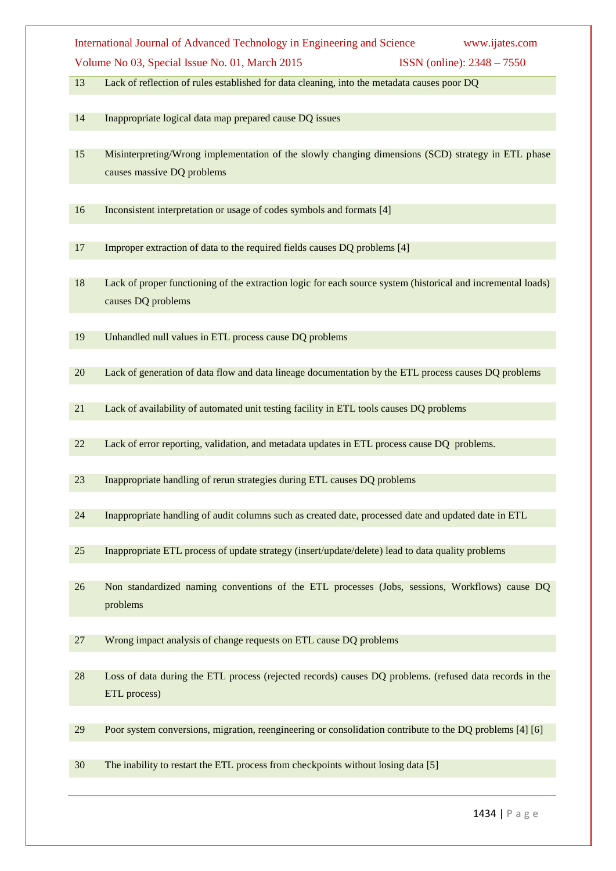Lack of reflection of rules established for data cleaning, into the metadata causes poor DQ

- Inappropriate logical data map prepared cause DQ issues
- Misinterpreting/Wrong implementation of the slowly changing dimensions (SCD) strategy in ETL phase causes massive DQ problems
- Inconsistent interpretation or usage of codes symbols and formats [4]
- Improper extraction of data to the required fields causes DQ problems [4]
- Lack of proper functioning of the extraction logic for each source system (historical and incremental loads) causes DQ problems
- Unhandled null values in ETL process cause DQ problems
- Lack of generation of data flow and data lineage documentation by the ETL process causes DQ problems
- Lack of availability of automated unit testing facility in ETL tools causes DQ problems
- Lack of error reporting, validation, and metadata updates in ETL process cause DQ problems.
- Inappropriate handling of rerun strategies during ETL causes DQ problems
- Inappropriate handling of audit columns such as created date, processed date and updated date in ETL
- Inappropriate ETL process of update strategy (insert/update/delete) lead to data quality problems
- Non standardized naming conventions of the ETL processes (Jobs, sessions, Workflows) cause DQ problems
- Wrong impact analysis of change requests on ETL cause DQ problems
- Loss of data during the ETL process (rejected records) causes DQ problems. (refused data records in the ETL process)
- Poor system conversions, migration, reengineering or consolidation contribute to the DQ problems [4] [6]
- The inability to restart the ETL process from checkpoints without losing data [5]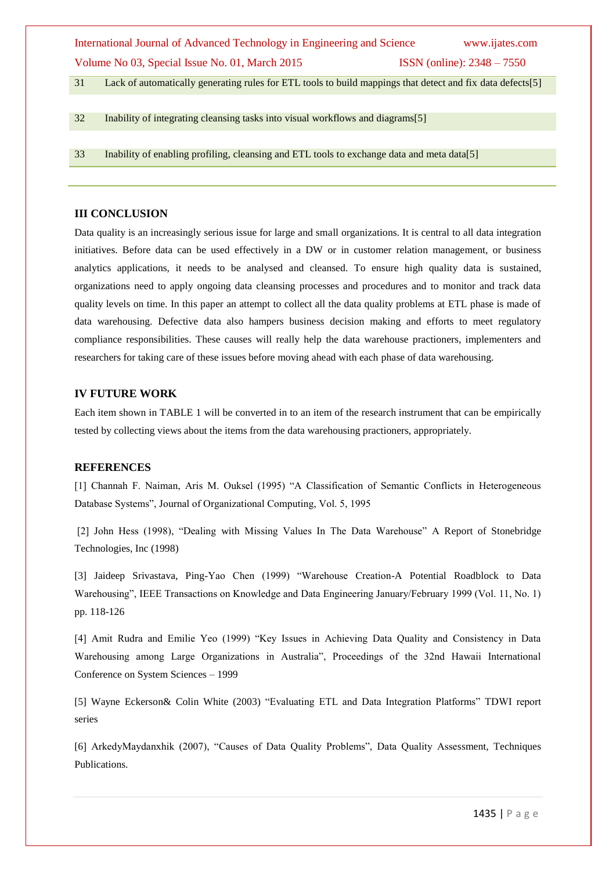| International Journal of Advanced Technology in Engineering and Science | www.ijates.com                      |
|-------------------------------------------------------------------------|-------------------------------------|
| Volume No 03, Special Issue No. 01, March 2015                          | <b>ISSN</b> (online): $2348 - 7550$ |

31 Lack of automatically generating rules for ETL tools to build mappings that detect and fix data defects[5]

32 Inability of integrating cleansing tasks into visual workflows and diagrams[5]

33 Inability of enabling profiling, cleansing and ETL tools to exchange data and meta data[5]

### **III CONCLUSION**

Data quality is an increasingly serious issue for large and small organizations. It is central to all data integration initiatives. Before data can be used effectively in a DW or in customer relation management, or business analytics applications, it needs to be analysed and cleansed. To ensure high quality data is sustained, organizations need to apply ongoing data cleansing processes and procedures and to monitor and track data quality levels on time. In this paper an attempt to collect all the data quality problems at ETL phase is made of data warehousing. Defective data also hampers business decision making and efforts to meet regulatory compliance responsibilities. These causes will really help the data warehouse practioners, implementers and researchers for taking care of these issues before moving ahead with each phase of data warehousing.

### **IV FUTURE WORK**

Each item shown in TABLE 1 will be converted in to an item of the research instrument that can be empirically tested by collecting views about the items from the data warehousing practioners, appropriately.

#### **REFERENCES**

[1] Channah F. Naiman, Aris M. Ouksel (1995) "A Classification of Semantic Conflicts in Heterogeneous Database Systems", Journal of Organizational Computing, Vol. 5, 1995

[2] John Hess (1998), "Dealing with Missing Values In The Data Warehouse" A Report of Stonebridge Technologies, Inc (1998)

[3] Jaideep Srivastava, Ping-Yao Chen (1999) "Warehouse Creation-A Potential Roadblock to Data Warehousing", IEEE Transactions on Knowledge and Data Engineering January/February 1999 (Vol. 11, No. 1) pp. 118-126

[4] Amit Rudra and Emilie Yeo (1999) "Key Issues in Achieving Data Quality and Consistency in Data Warehousing among Large Organizations in Australia", Proceedings of the 32nd Hawaii International Conference on System Sciences – 1999

[5] Wayne Eckerson& Colin White (2003) "Evaluating ETL and Data Integration Platforms" TDWI report series

[6] ArkedyMaydanxhik (2007), "Causes of Data Quality Problems", Data Quality Assessment, Techniques Publications.